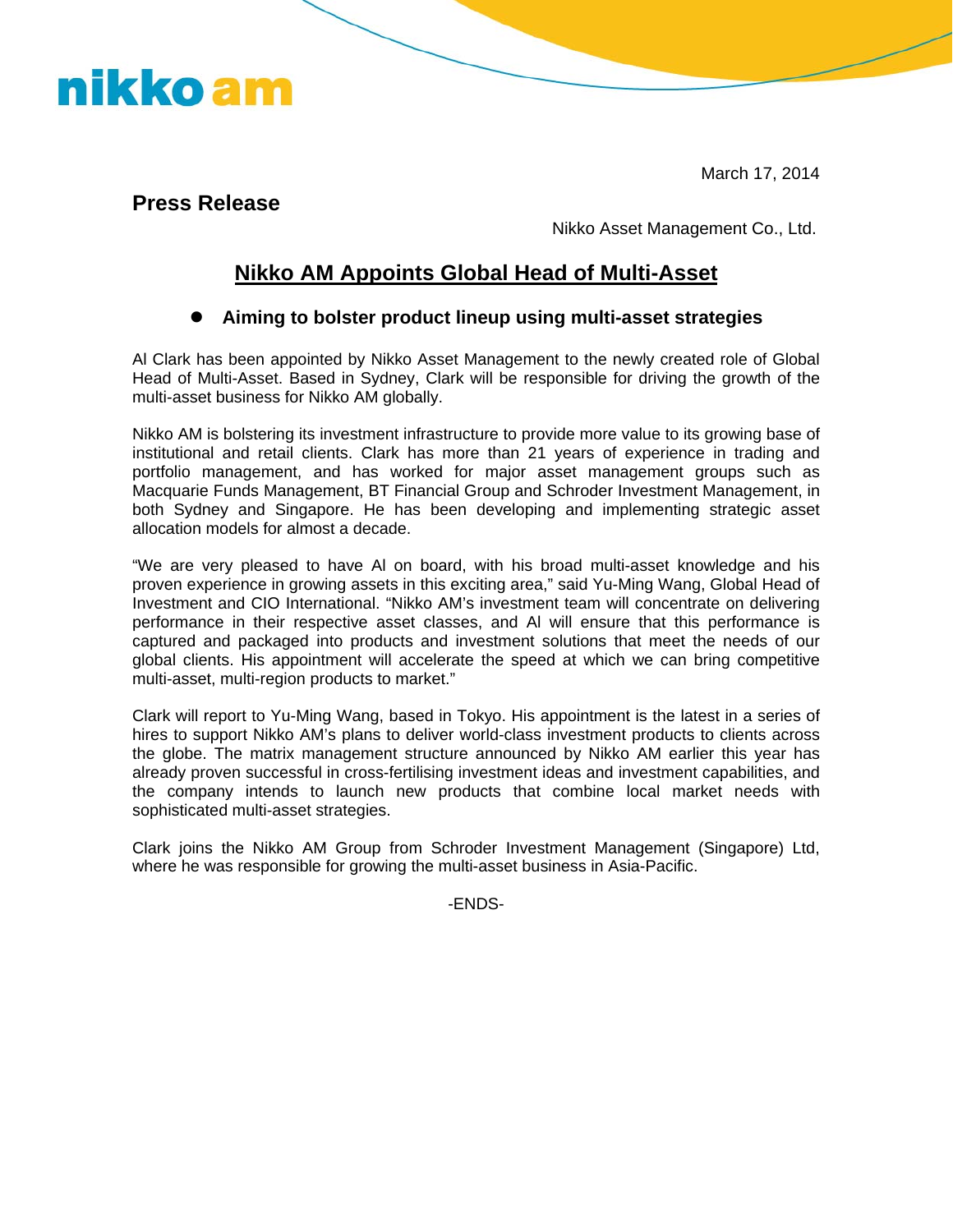March 17, 2014

**Press Release** 

nikko am

Nikko Asset Management Co., Ltd.

## **Nikko AM Appoints Global Head of Multi-Asset**

## **• Aiming to bolster product lineup using multi-asset strategies**

Al Clark has been appointed by Nikko Asset Management to the newly created role of Global Head of Multi-Asset. Based in Sydney, Clark will be responsible for driving the growth of the multi-asset business for Nikko AM globally.

Nikko AM is bolstering its investment infrastructure to provide more value to its growing base of institutional and retail clients. Clark has more than 21 years of experience in trading and portfolio management, and has worked for major asset management groups such as Macquarie Funds Management, BT Financial Group and Schroder Investment Management, in both Sydney and Singapore. He has been developing and implementing strategic asset allocation models for almost a decade.

"We are very pleased to have Al on board, with his broad multi-asset knowledge and his proven experience in growing assets in this exciting area," said Yu-Ming Wang, Global Head of Investment and CIO International. "Nikko AM's investment team will concentrate on delivering performance in their respective asset classes, and Al will ensure that this performance is captured and packaged into products and investment solutions that meet the needs of our global clients. His appointment will accelerate the speed at which we can bring competitive multi-asset, multi-region products to market."

Clark will report to Yu-Ming Wang, based in Tokyo. His appointment is the latest in a series of hires to support Nikko AM's plans to deliver world-class investment products to clients across the globe. The matrix management structure announced by Nikko AM earlier this year has already proven successful in cross-fertilising investment ideas and investment capabilities, and the company intends to launch new products that combine local market needs with sophisticated multi-asset strategies.

Clark joins the Nikko AM Group from Schroder Investment Management (Singapore) Ltd, where he was responsible for growing the multi-asset business in Asia-Pacific.

-ENDS-